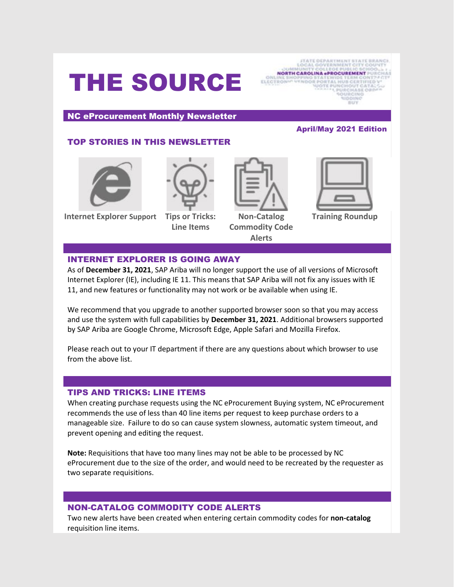# THE SOURCE



NC eProcurement Monthly Newsletter

# TOP STORIES IN THIS NEWSLETTER



**Internet Explorer Support Tips or Tricks:** 



**Line Items**

**Non-Catalog Commodity Code Alerts**

# April/May 2021 Edition



# **Training Roundup**

#### INTERNET EXPLORER IS GOING AWAY

As of **December 31, 2021**, SAP Ariba will no longer support the use of all versions of Microsoft Internet Explorer (IE), including IE 11. This means that SAP Ariba will not fix any issues with IE 11, and new features or functionality may not work or be available when using IE.

We recommend that you upgrade to another supported browser soon so that you may access and use the system with full capabilities by **December 31, 2021**. Additional browsers supported by SAP Ariba are Google Chrome, Microsoft Edge, Apple Safari and Mozilla Firefox.

Please reach out to your IT department if there are any questions about which browser to use from the above list.

# TIPS AND TRICKS: LINE ITEMS

When creating purchase requests using the NC eProcurement Buying system, NC eProcurement recommends the use of less than 40 line items per request to keep purchase orders to a manageable size. Failure to do so can cause system slowness, automatic system timeout, and prevent opening and editing the request.

**Note:** Requisitions that have too many lines may not be able to be processed by NC eProcurement due to the size of the order, and would need to be recreated by the requester as two separate requisitions.

# NON-CATALOG COMMODITY CODE ALERTS

Two new alerts have been created when entering certain commodity codes for **non-catalog** requisition line items.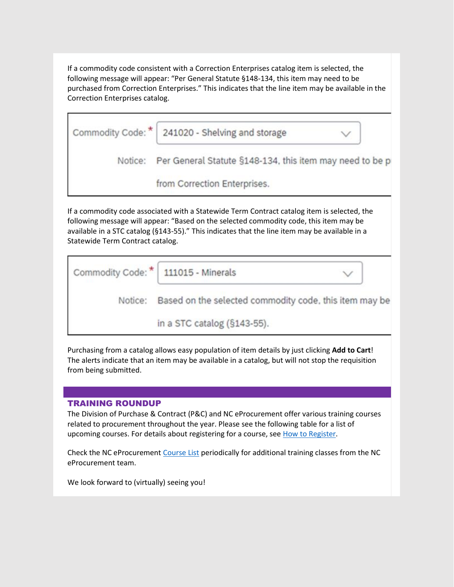If a commodity code consistent with a Correction Enterprises catalog item is selected, the following message will appear: "Per General Statute §148-134, this item may need to be purchased from Correction Enterprises." This indicates that the line item may be available in the Correction Enterprises catalog.

|         | Commodity Code: *   241020 - Shelving and storage        |  |
|---------|----------------------------------------------------------|--|
| Notice: | Per General Statute §148-134, this item may need to be p |  |
|         | from Correction Enterprises.                             |  |

If a commodity code associated with a Statewide Term Contract catalog item is selected, the following message will appear: "Based on the selected commodity code, this item may be available in a STC catalog (§143-55)." This indicates that the line item may be available in a Statewide Term Contract catalog.

| Commodity Code: *   111015 - Minerals |                                                        |  |
|---------------------------------------|--------------------------------------------------------|--|
| Notice:                               | Based on the selected commodity code, this item may be |  |
|                                       | in a STC catalog (§143-55).                            |  |

Purchasing from a catalog allows easy population of item details by just clicking **Add to Cart**! The alerts indicate that an item may be available in a catalog, but will not stop the requisition from being submitted.

#### TRAINING ROUNDUP

The Division of Purchase & Contract (P&C) and NC eProcurement offer various training courses related to procurement throughout the year. Please see the following table for a list of upcoming courses. For details about registering for a course, se[e How to Register.](https://urldefense.proofpoint.com/v2/url?u=https-3A__files.nc.gov_ncdoa_pandc_OnlineTrainingMaterials_How-2Dto-2DRegister.pdf&d=DwMF-g&c=eIGjsITfXP_y-DLLX0uEHXJvU8nOHrUK8IrwNKOtkVU&r=MXJolZ0fx0MQ88DX_BGVFUE7TCVkF0Q7fOV00Tar3jk&m=kHtd2MEErp9uIwKiKww9WYisURPYWpIlduyfVr-4JmQ&s=1LyJkrt6YmRiM_T_czOz-seaUnkvXc34lklst7dP3CI&e=)

Check the NC eProcurement [Course List](https://urldefense.proofpoint.com/v2/url?u=https-3A__eprocurement.nc.gov_events&d=DwMF-g&c=eIGjsITfXP_y-DLLX0uEHXJvU8nOHrUK8IrwNKOtkVU&r=MXJolZ0fx0MQ88DX_BGVFUE7TCVkF0Q7fOV00Tar3jk&m=kHtd2MEErp9uIwKiKww9WYisURPYWpIlduyfVr-4JmQ&s=J-FfcEUiHXNkQOA9yFlIrwTHKwR01Fqf4ZSSfVWuA44&e=) periodically for additional training classes from the NC eProcurement team.

We look forward to (virtually) seeing you!